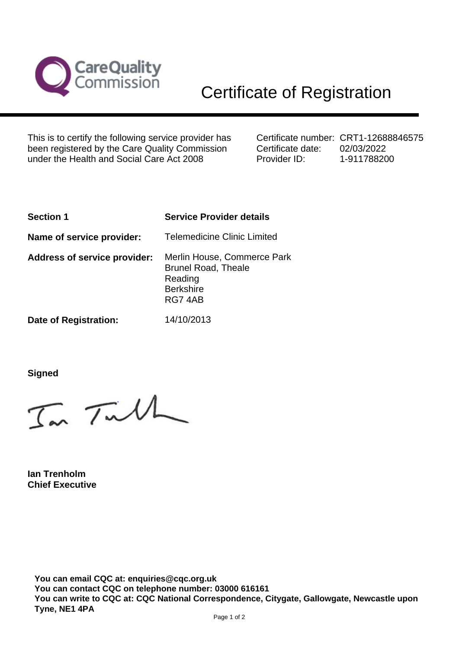

This is to certify the following service provider has been registered by the Care Quality Commission under the Health and Social Care Act 2008

Certificate number: CRT1-12688846575 Certificate date: Provider ID: 02/03/2022 1-911788200

| <b>Section 1</b>                    | <b>Service Provider details</b>                                                                    |
|-------------------------------------|----------------------------------------------------------------------------------------------------|
| Name of service provider:           | <b>Telemedicine Clinic Limited</b>                                                                 |
| <b>Address of service provider:</b> | Merlin House, Commerce Park<br><b>Brunel Road, Theale</b><br>Reading<br><b>Berkshire</b><br>RG74AB |
| Date of Registration:               | 14/10/2013                                                                                         |

**Signed**

In Tulh

**Ian Trenholm Chief Executive**